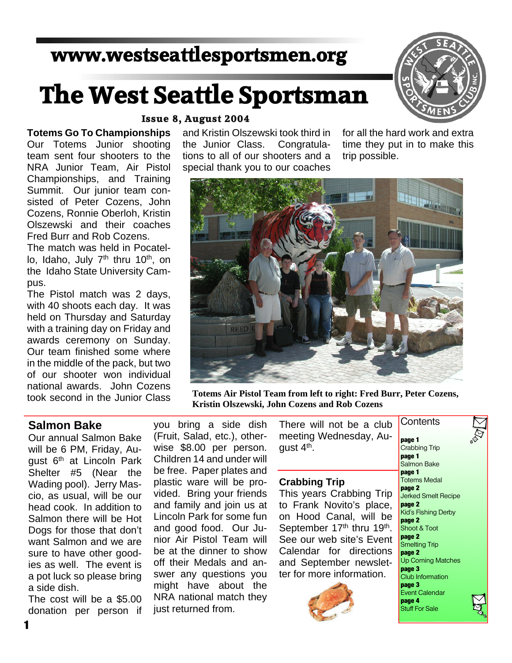# **www.westseattlesportsmen.org**

# **The West Seattle Sportsman**



# **Totems Go To Championships**

Our Totems Junior shooting team sent four shooters to the NRA Junior Team, Air Pistol Championships, and Training Summit. Our junior team con sisted of Peter Cozens, John Cozens, Ronnie Oberloh, Kristin Olszewski and their coaches Fred Burr and Rob Cozens.

The match was held in Pocatel lo, Idaho, July 7<sup>th</sup> thru 10<sup>th</sup>, on the Idaho State University Cam pus.

The Pistol match was 2 days, with 40 shoots each day. It was held on Thursday and Saturday with a training day on Friday and awards ceremony on Sunday. Our team finished some where in the middle of the pack, but two of our shooter won individual national awards. John Cozens took second in the Junior Class

#### **Issue 8, August 2004**

and Kristin Olszewski took third in the Junior Class. Congratula tions to all of our shooters and a special thank you to our coaches

for all the hard work and extra time they put in to make this trip possible.



**Totems Air Pistol Team from left to right: Fred Burr, Peter Cozens, Kristin Olszewski, John Cozens and Rob Cozens**

### **Salmon Bake**

Our annual Salmon Bake will be 6 PM, Friday, Au gust 6<sup>th</sup> at Lincoln Park Shelter #5 (Near the Wading pool). Jerry Mas cio, as usual, will be our head cook. In addition to Salmon there will be Hot Dogs for those that don't want Salmon and we are sure to have other good ies as well. The event is a pot luck so please bring a side dish.

The cost will be a \$5.00 donation per person if you bring a side dish (Fruit, Salad, etc.), other wise \$8.00 per person. Children 14 and under will be free. Paper plates and plastic ware will be pro vided. Bring your friends and family and join us at Lincoln Park for some fun and good food. Our Ju nior Air Pistol Team will be at the dinner to show off their Medals and an swer any questions you might have about the NRA national match they just returned from.

There will not be a club meeting Wednesday, Au aust  $4<sup>th</sup>$ . **Contents** 

#### **Crabbing Trip**

This years Crabbing Trip to Frank Novito's place, on Hood Canal, will be September 17<sup>th</sup> thru 19<sup>th</sup>. See our web site's Event Calendar for directions and September newslet ter for more information.



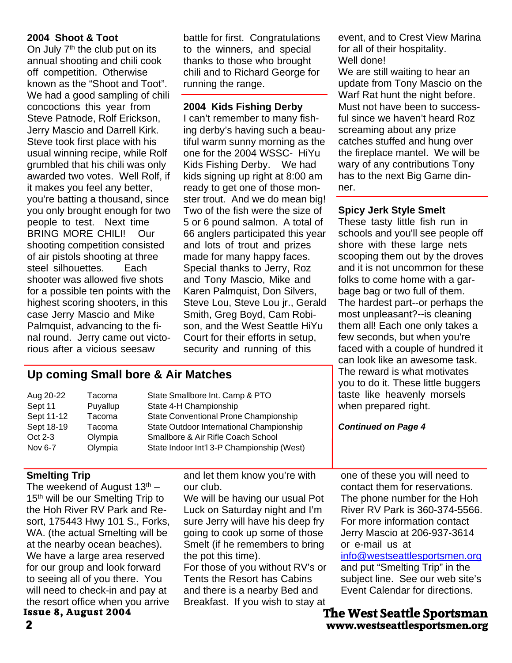#### **2004 Shoot & Toot**

On July  $7<sup>th</sup>$  the club put on its annual shooting and chili cook off competition. Otherwise known as the "Shoot and Toot". We had a good sampling of chili concoctions this year from Steve Patnode, Rolf Erickson, Jerry Mascio and Darrell Kirk. Steve took first place with his usual winning recipe, while Rolf grumbled that his chili was only awarded two votes. Well Rolf, if it makes you feel any better, you're batting a thousand, since you only brought enough for two people to test. Next time BRING MORE CHILI! Our shooting competition consisted of air pistols shooting at three steel silhouettes. Each shooter was allowed five shots for a possible ten points with the highest scoring shooters, in this case Jerry Mascio and Mike Palmquist, advancing to the fi nal round. Jerry came out victo rious after a vicious seesaw

battle for first. Congratulations to the winners, and special thanks to those who brought chili and to Richard George for running the range.

#### **2004 Kids Fishing Derby**

I can't remember to many fish ing derby's having such a beau tiful warm sunny morning as the one for the 2004 WSSC- HiYu Kids Fishing Derby. We had kids signing up right at 8:00 am ready to get one of those monster trout. And we do mean big! Two of the fish were the size of 5 or 6 pound salmon. A total of 66 anglers participated this year and lots of trout and prizes made for many happy faces. Special thanks to Jerry, Roz and Tony Mascio, Mike and Karen Palmquist, Don Silvers, Steve Lou, Steve Lou jr., Gerald Smith, Greg Boyd, Cam Robi son, and the West Seattle HiYu Court for their efforts in setup, security and running of this

event, and to Crest View Marina for all of their hospitality. Well done!

We are still waiting to hear an update from Tony Mascio on the Warf Rat hunt the night before. Must not have been to success ful since we haven't heard Roz screaming about any prize catches stuffed and hung over the fireplace mantel. We will be wary of any contributions Tony has to the next Big Game din ner.

#### **Spicy Jerk Style Smelt**

These tasty little fish run in schools and you'll see people off shore with these large nets scooping them out by the droves and it is not uncommon for these folks to come home with a gar bage bag or two full of them. The hardest part--or perhaps the most unpleasant?--is cleaning them all! Each one only takes a few seconds, but when you're faced with a couple of hundred it can look like an awesome task. The reward is what motivates you to do it. These little buggers

# **The West Seattle Sportsman**

### **Up coming Small bore & Air Matches**

| Aug 20-22<br>Sept 11<br>Sept 11-12<br>Sept 18-19<br>Oct 2-3<br>Nov 6-7                                                                                                                                                                                                                                                                                                                                                                                              | Tacoma<br>Puyallup<br>Tacoma<br>Tacoma<br>Olympia<br>Olympia |  | State Smallbore Int. Camp & PTO<br>State 4-H Championship<br>State Conventional Prone Championship<br>State Outdoor International Championship<br>Smallbore & Air Rifle Coach School<br>State Indoor Int'l 3-P Championship (West)                                                                                                                                                        | <b>YOU TO GO IT. THESE THATE DUGGETS</b><br>taste like heavenly morsels<br>when prepared right.<br><b>Continued on Page 4</b>                                                                                                                                                                                                                                                                                                      |
|---------------------------------------------------------------------------------------------------------------------------------------------------------------------------------------------------------------------------------------------------------------------------------------------------------------------------------------------------------------------------------------------------------------------------------------------------------------------|--------------------------------------------------------------|--|-------------------------------------------------------------------------------------------------------------------------------------------------------------------------------------------------------------------------------------------------------------------------------------------------------------------------------------------------------------------------------------------|------------------------------------------------------------------------------------------------------------------------------------------------------------------------------------------------------------------------------------------------------------------------------------------------------------------------------------------------------------------------------------------------------------------------------------|
| <b>Smelting Trip</b><br>The weekend of August $13th$ –<br>15 <sup>th</sup> will be our Smelting Trip to<br>the Hoh River RV Park and Re-<br>sort, 175443 Hwy 101 S., Forks,<br>WA. (the actual Smelting will be<br>at the nearby ocean beaches).<br>We have a large area reserved<br>for our group and look forward<br>to seeing all of you there. You<br>will need to check-in and pay at<br>the resort office when you arrive<br><b>Issue 8, August 2004</b><br>2 |                                                              |  | and let them know you're with<br>our club.<br>We will be having our usual Pot<br>Luck on Saturday night and I'm<br>sure Jerry will have his deep fry<br>going to cook up some of those<br>Smelt (if he remembers to bring<br>the pot this time).<br>For those of you without RV's or<br>Tents the Resort has Cabins<br>and there is a nearby Bed and<br>Breakfast. If you wish to stay at | one of these you will need to<br>contact them for reservations.<br>The phone number for the Hoh<br>River RV Park is 360-374-5566.<br>For more information contact<br>Jerry Mascio at 206-937-3614<br>or e-mail us at<br>info@westseattlesportsmen.org<br>and put "Smelting Trip" in the<br>subject line. See our web site's<br>Event Calendar for directions.<br><b>The West Seattle Sportsman</b><br>www.westseattlesportsmen.org |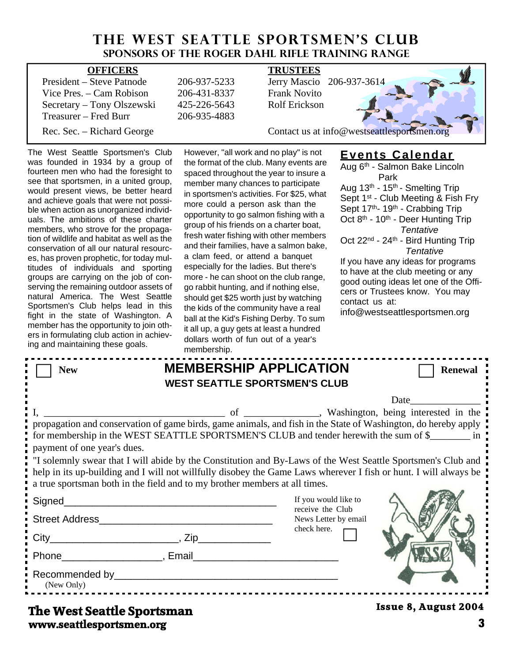# **THE WEST SEATTLE SPORTSMEN'S CLUB Sponsors of the Roger Dahl Rifle Training Range**

| <b>OFFICERS</b>            |              | <b>TRUSTEES</b>                             |
|----------------------------|--------------|---------------------------------------------|
| President – Steve Patnode  | 206-937-5233 | Jerry Mascio 206-937-3614                   |
| Vice Pres. – Cam Robison   | 206-431-8337 | <b>Frank Novito</b>                         |
| Secretary – Tony Olszewski | 425-226-5643 | <b>Rolf Erickson</b>                        |
| Treasurer – Fred Burr      | 206-935-4883 |                                             |
| Rec. Sec. – Richard George |              | Contact us at info@westseattlesportsmen.org |

The West Seattle Sportsmen's Club was founded in 1934 by a group of fourteen men who had the foresight to see that sportsmen, in a united group, would present views, be better heard and achieve goals that were not possi ble when action as unorganized individ uals. The ambitions of these charter members, who strove for the propaga tion of wildlife and habitat as well as the conservation of all our natural resourc es, has proven prophetic, for today mul titudes of individuals and sporting groups are carrying on the job of con serving the remaining outdoor assets of natural America. The West Seattle Sportsmen's Club helps lead in this fight in the state of Washington. A member has the opportunity to join oth ers in formulating club action in achiev ing and maintaining these goals.

However, "all work and no play" is not the format of the club. Many events are spaced throughout the year to insure a member many chances to participate in sportsmen's activities. For \$25, what more could a person ask than the opportunity to go salmon fishing with a group of his friends on a charter boat, fresh water fishing with other members and their families, have a salmon bake, a clam feed, or attend a banquet especially for the ladies. But there's more - he can shoot on the club range, go rabbit hunting, and if nothing else, should get \$25 worth just by watching the kids of the community have a real ball at the Kid's Fishing Derby. To sum it all up, a guy gets at least a hundred dollars worth of fun out of a year's membership.

## **Events Calendar**

Aug 6th - Salmon Bake Lincoln Park Aug 13th - 15th- Smelting Trip Sept 1<sup>st</sup> - Club Meeting & Fish Fry Sept 17th- 19th - Crabbing Trip Oct 8<sup>th</sup> - 10<sup>th</sup> - Deer Hunting Trip *Tentative* Oct 22<sup>nd</sup> - 24<sup>th</sup> - Bird Hunting Trip *Tentative* If you have any ideas for programs to have at the club meeting or any good outing ideas let one of the Offi-

cers or Trustees know. You may contact us at:

info@westseattlesportsmen.org

|                                                                                                               | membership. |                                                                                                                                                                                                                                                                                                                                                                                                                                               |                             |
|---------------------------------------------------------------------------------------------------------------|-------------|-----------------------------------------------------------------------------------------------------------------------------------------------------------------------------------------------------------------------------------------------------------------------------------------------------------------------------------------------------------------------------------------------------------------------------------------------|-----------------------------|
| <b>New</b>                                                                                                    |             | <b>MEMBERSHIP APPLICATION</b><br><b>WEST SEATTLE SPORTSMEN'S CLUB</b>                                                                                                                                                                                                                                                                                                                                                                         | <b>Renewal</b>              |
| payment of one year's dues.                                                                                   |             | propagation and conservation of game birds, game animals, and fish in the State of Washington, do hereby apply<br>for membership in the WEST SEATTLE SPORTSMEN'S CLUB and tender herewith the sum of \$<br>I "I solemnly swear that I will abide by the Constitution and By-Laws of the West Seattle Sportsmen's Club and<br>help in its up-building and I will not willfully disobey the Game Laws wherever I fish or hunt. I will always be | Date                        |
| a true sportsman both in the field and to my brother members at all times.                                    |             | If you would like to<br>receive the Club<br>News Letter by email                                                                                                                                                                                                                                                                                                                                                                              |                             |
| Phone Reserves and Phone Reserves and Phone Reserves and Phone Reserves and Phone Reserves and Phone Reserves |             | check here.                                                                                                                                                                                                                                                                                                                                                                                                                                   |                             |
| (New Only)<br>The West Seattle Sportsman                                                                      |             |                                                                                                                                                                                                                                                                                                                                                                                                                                               | <b>Issue 8, August 2004</b> |

**www.seattlesportsmen.org 3 The West Seattle Sportsman**